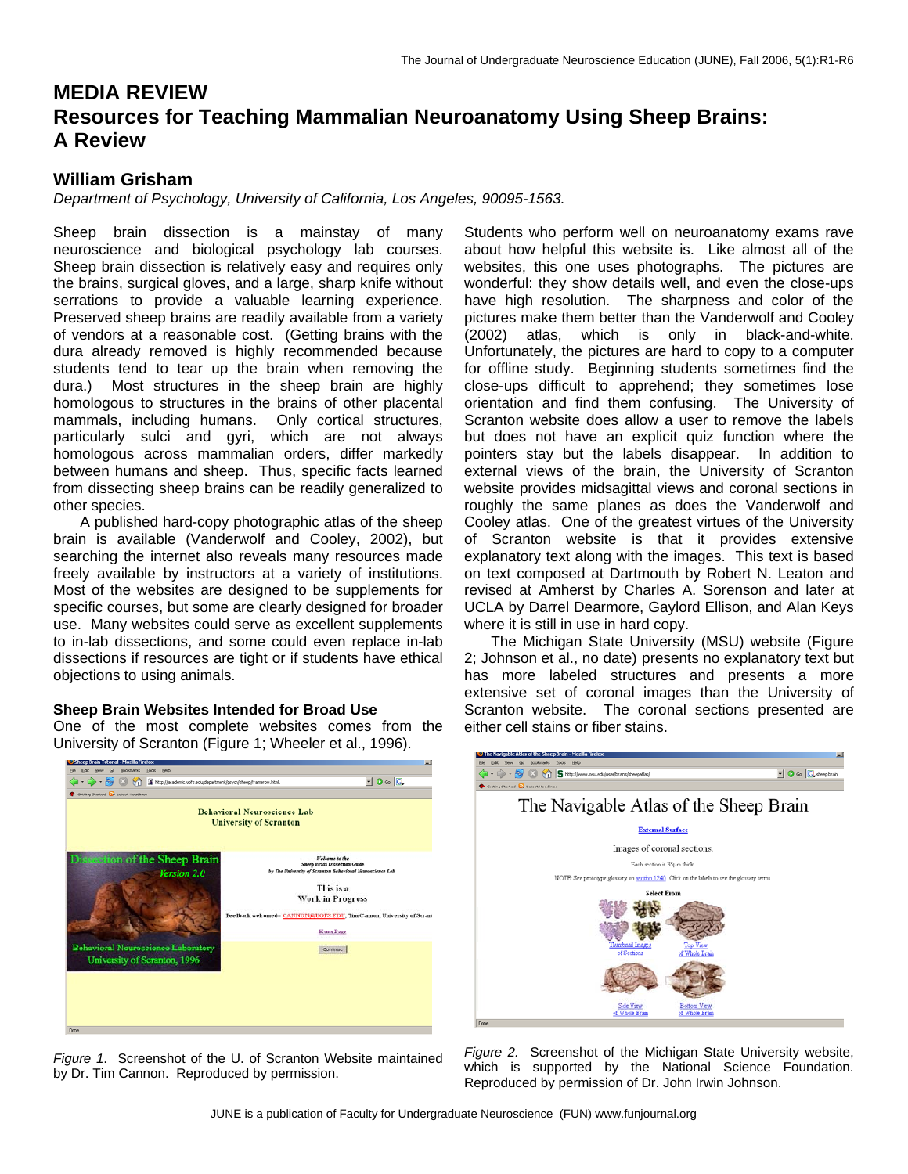# **MEDIA REVIEW Resources for Teaching Mammalian Neuroanatomy Using Sheep Brains: A Review**

# **William Grisham**

*Department of Psychology, University of California, Los Angeles, 90095-1563.* 

Sheep brain dissection is a mainstay of many neuroscience and biological psychology lab courses. Sheep brain dissection is relatively easy and requires only the brains, surgical gloves, and a large, sharp knife without serrations to provide a valuable learning experience. Preserved sheep brains are readily available from a variety of vendors at a reasonable cost. (Getting brains with the dura already removed is highly recommended because students tend to tear up the brain when removing the dura.) Most structures in the sheep brain are highly homologous to structures in the brains of other placental mammals, including humans. Only cortical structures, particularly sulci and gyri, which are not always homologous across mammalian orders, differ markedly between humans and sheep. Thus, specific facts learned from dissecting sheep brains can be readily generalized to other species.

A published hard-copy photographic atlas of the sheep brain is available (Vanderwolf and Cooley, 2002), but searching the internet also reveals many resources made freely available by instructors at a variety of institutions. Most of the websites are designed to be supplements for specific courses, but some are clearly designed for broader use. Many websites could serve as excellent supplements to in-lab dissections, and some could even replace in-lab dissections if resources are tight or if students have ethical objections to using animals.

### **Sheep Brain Websites Intended for Broad Use**

One of the most complete websites comes from the University of Scranton (Figure 1; Wheeler et al., 1996).



*Figure 1*. Screenshot of the U. of Scranton Website maintained by Dr. Tim Cannon. Reproduced by permission.

Students who perform well on neuroanatomy exams rave about how helpful this website is. Like almost all of the websites, this one uses photographs. The pictures are wonderful: they show details well, and even the close-ups have high resolution. The sharpness and color of the pictures make them better than the Vanderwolf and Cooley (2002) atlas, which is only in black-and-white. Unfortunately, the pictures are hard to copy to a computer for offline study. Beginning students sometimes find the close-ups difficult to apprehend; they sometimes lose orientation and find them confusing. The University of Scranton website does allow a user to remove the labels but does not have an explicit quiz function where the pointers stay but the labels disappear. In addition to external views of the brain, the University of Scranton website provides midsagittal views and coronal sections in roughly the same planes as does the Vanderwolf and Cooley atlas. One of the greatest virtues of the University of Scranton website is that it provides extensive explanatory text along with the images. This text is based on text composed at Dartmouth by Robert N. Leaton and revised at Amherst by Charles A. Sorenson and later at UCLA by Darrel Dearmore, Gaylord Ellison, and Alan Keys where it is still in use in hard copy.

The Michigan State University (MSU) website (Figure 2; Johnson et al., no date) presents no explanatory text but has more labeled structures and presents a more extensive set of coronal images than the University of Scranton website. The coronal sections presented are either cell stains or fiber stains.



*Figure 2.* Screenshot of the Michigan State University website, which is supported by the National Science Foundation. Reproduced by permission of Dr. John Irwin Johnson.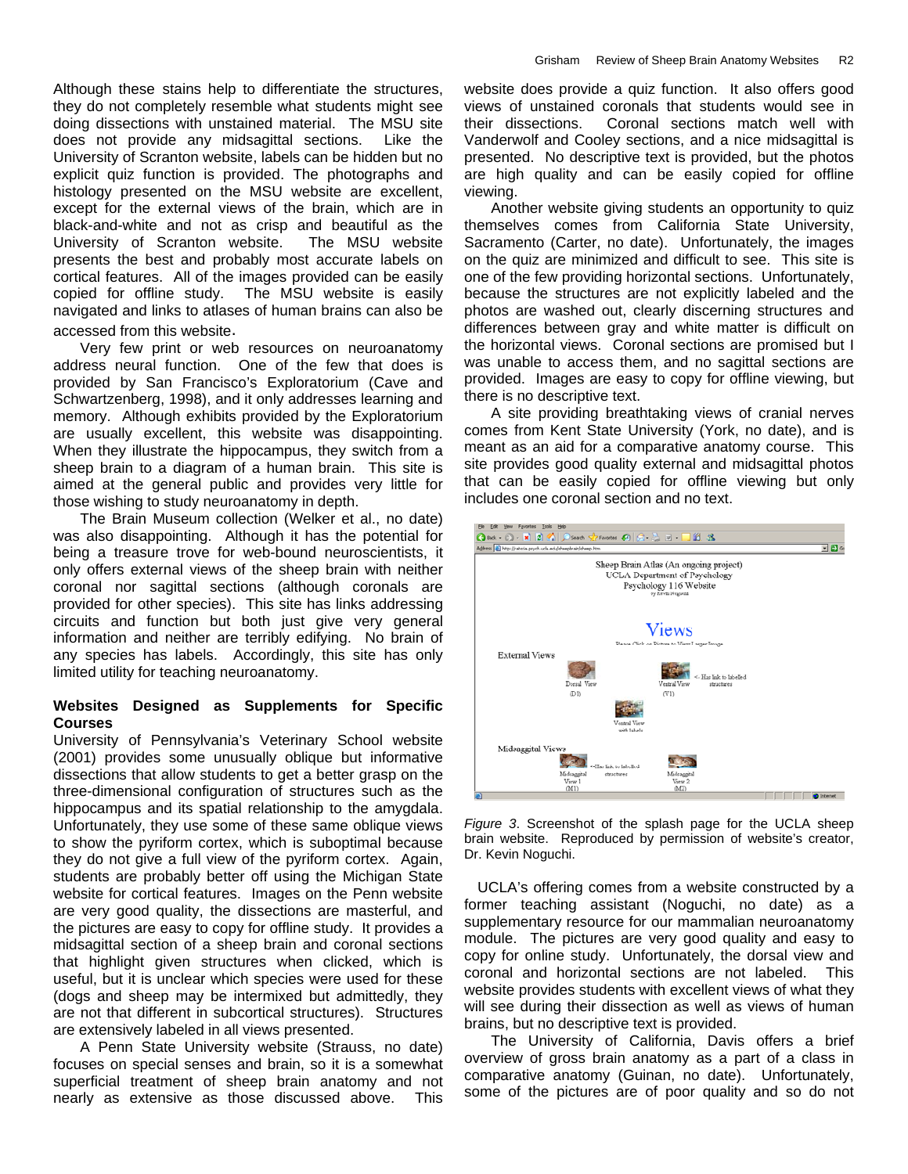Although these stains help to differentiate the structures, they do not completely resemble what students might see doing dissections with unstained material. The MSU site does not provide any midsagittal sections. Like the University of Scranton website, labels can be hidden but no explicit quiz function is provided. The photographs and histology presented on the MSU website are excellent, except for the external views of the brain, which are in black-and-white and not as crisp and beautiful as the University of Scranton website. The MSU website presents the best and probably most accurate labels on cortical features. All of the images provided can be easily copied for offline study. The MSU website is easily navigated and links to atlases of human brains can also be

accessed from this website. Very few print or web resources on neuroanatomy address neural function. One of the few that does is provided by San Francisco's Exploratorium (Cave and Schwartzenberg, 1998), and it only addresses learning and memory. Although exhibits provided by the Exploratorium are usually excellent, this website was disappointing. When they illustrate the hippocampus, they switch from a sheep brain to a diagram of a human brain. This site is aimed at the general public and provides very little for those wishing to study neuroanatomy in depth.

The Brain Museum collection (Welker et al., no date) was also disappointing. Although it has the potential for being a treasure trove for web-bound neuroscientists, it only offers external views of the sheep brain with neither coronal nor sagittal sections (although coronals are provided for other species). This site has links addressing circuits and function but both just give very general information and neither are terribly edifying. No brain of any species has labels. Accordingly, this site has only limited utility for teaching neuroanatomy.

# **Websites Designed as Supplements for Specific Courses**

University of Pennsylvania's Veterinary School website (2001) provides some unusually oblique but informative dissections that allow students to get a better grasp on the three-dimensional configuration of structures such as the hippocampus and its spatial relationship to the amygdala. Unfortunately, they use some of these same oblique views to show the pyriform cortex, which is suboptimal because they do not give a full view of the pyriform cortex. Again, students are probably better off using the Michigan State website for cortical features. Images on the Penn website are very good quality, the dissections are masterful, and the pictures are easy to copy for offline study. It provides a midsagittal section of a sheep brain and coronal sections that highlight given structures when clicked, which is useful, but it is unclear which species were used for these (dogs and sheep may be intermixed but admittedly, they are not that different in subcortical structures). Structures are extensively labeled in all views presented.

A Penn State University website (Strauss, no date) focuses on special senses and brain, so it is a somewhat superficial treatment of sheep brain anatomy and not nearly as extensive as those discussed above. This

website does provide a quiz function. It also offers good views of unstained coronals that students would see in their dissections. Coronal sections match well with Vanderwolf and Cooley sections, and a nice midsagittal is presented. No descriptive text is provided, but the photos are high quality and can be easily copied for offline viewing.

Another website giving students an opportunity to quiz themselves comes from California State University, Sacramento (Carter, no date). Unfortunately, the images on the quiz are minimized and difficult to see. This site is one of the few providing horizontal sections. Unfortunately, because the structures are not explicitly labeled and the photos are washed out, clearly discerning structures and differences between gray and white matter is difficult on the horizontal views. Coronal sections are promised but I was unable to access them, and no sagittal sections are provided. Images are easy to copy for offline viewing, but there is no descriptive text.

A site providing breathtaking views of cranial nerves comes from Kent State University (York, no date), and is meant as an aid for a comparative anatomy course. This site provides good quality external and midsagittal photos that can be easily copied for offline viewing but only includes one coronal section and no text.



*Figure 3*. Screenshot of the splash page for the UCLA sheep brain website. Reproduced by permission of website's creator, Dr. Kevin Noguchi.

UCLA's offering comes from a website constructed by a former teaching assistant (Noguchi, no date) as a supplementary resource for our mammalian neuroanatomy module. The pictures are very good quality and easy to copy for online study. Unfortunately, the dorsal view and coronal and horizontal sections are not labeled. This website provides students with excellent views of what they will see during their dissection as well as views of human brains, but no descriptive text is provided.

The University of California, Davis offers a brief overview of gross brain anatomy as a part of a class in comparative anatomy (Guinan, no date). Unfortunately, some of the pictures are of poor quality and so do not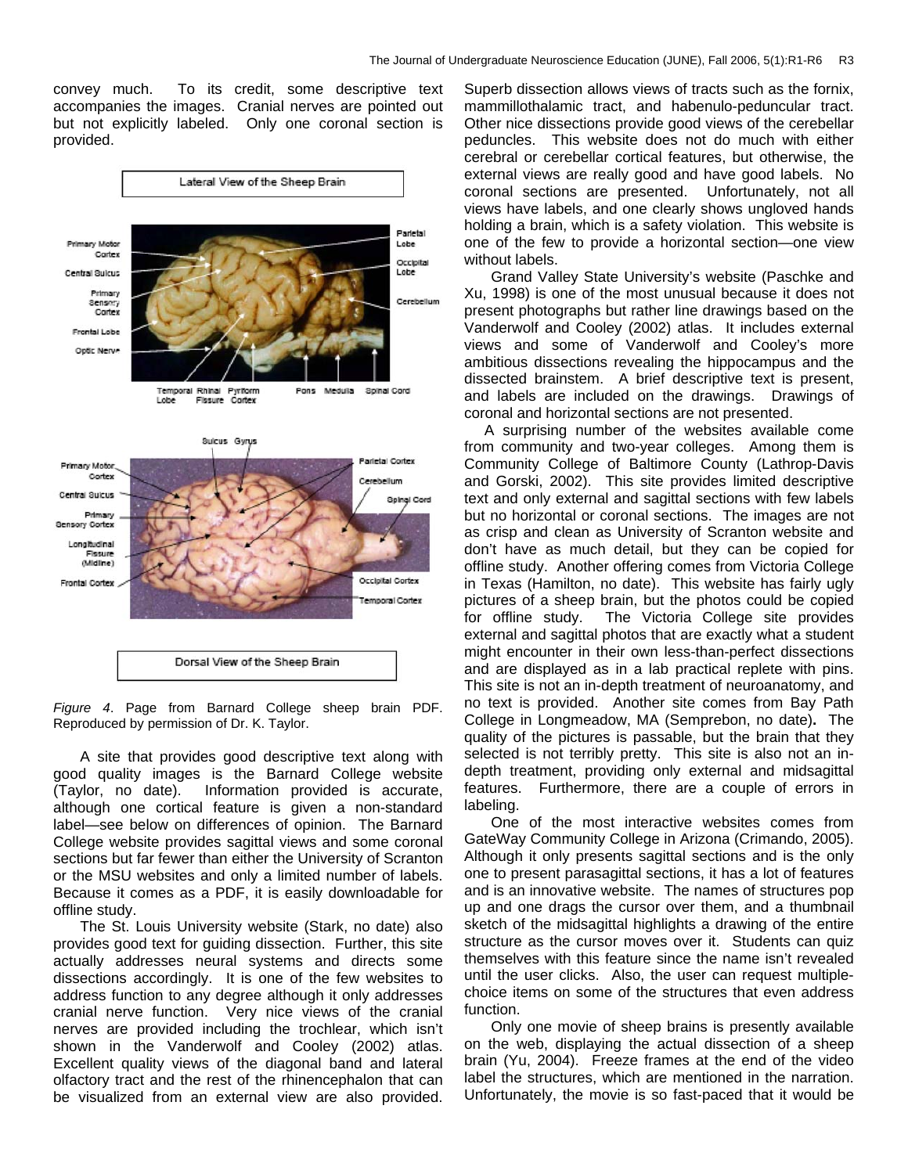convey much. To its credit, some descriptive text accompanies the images. Cranial nerves are pointed out but not explicitly labeled. Only one coronal section is provided.



*Figure 4*. Page from Barnard College sheep brain PDF. Reproduced by permission of Dr. K. Taylor.

A site that provides good descriptive text along with good quality images is the Barnard College website (Taylor, no date). Information provided is accurate, although one cortical feature is given a non-standard label—see below on differences of opinion. The Barnard College website provides sagittal views and some coronal sections but far fewer than either the University of Scranton or the MSU websites and only a limited number of labels. Because it comes as a PDF, it is easily downloadable for offline study.

The St. Louis University website (Stark, no date) also provides good text for guiding dissection. Further, this site actually addresses neural systems and directs some dissections accordingly. It is one of the few websites to address function to any degree although it only addresses cranial nerve function. Very nice views of the cranial nerves are provided including the trochlear, which isn't shown in the Vanderwolf and Cooley (2002) atlas. Excellent quality views of the diagonal band and lateral olfactory tract and the rest of the rhinencephalon that can be visualized from an external view are also provided.

Superb dissection allows views of tracts such as the fornix, mammillothalamic tract, and habenulo-peduncular tract. Other nice dissections provide good views of the cerebellar peduncles. This website does not do much with either cerebral or cerebellar cortical features, but otherwise, the external views are really good and have good labels. No coronal sections are presented. Unfortunately, not all views have labels, and one clearly shows ungloved hands holding a brain, which is a safety violation. This website is one of the few to provide a horizontal section—one view without labels.

Grand Valley State University's website (Paschke and Xu, 1998) is one of the most unusual because it does not present photographs but rather line drawings based on the Vanderwolf and Cooley (2002) atlas. It includes external views and some of Vanderwolf and Cooley's more ambitious dissections revealing the hippocampus and the dissected brainstem. A brief descriptive text is present, and labels are included on the drawings. Drawings of coronal and horizontal sections are not presented.

A surprising number of the websites available come from community and two-year colleges. Among them is Community College of Baltimore County (Lathrop-Davis and Gorski, 2002). This site provides limited descriptive text and only external and sagittal sections with few labels but no horizontal or coronal sections. The images are not as crisp and clean as University of Scranton website and don't have as much detail, but they can be copied for offline study. Another offering comes from Victoria College in Texas (Hamilton, no date). This website has fairly ugly pictures of a sheep brain, but the photos could be copied for offline study. The Victoria College site provides external and sagittal photos that are exactly what a student might encounter in their own less-than-perfect dissections and are displayed as in a lab practical replete with pins. This site is not an in-depth treatment of neuroanatomy, and no text is provided. Another site comes from Bay Path College in Longmeadow, MA (Semprebon, no date)**.** The quality of the pictures is passable, but the brain that they selected is not terribly pretty. This site is also not an indepth treatment, providing only external and midsagittal features. Furthermore, there are a couple of errors in labeling.

One of the most interactive websites comes from [GateWay Community College](http://www.gatewaycc.edu/) in Arizona (Crimando, 2005). Although it only presents sagittal sections and is the only one to present parasagittal sections, it has a lot of features and is an innovative website. The names of structures pop up and one drags the cursor over them, and a thumbnail sketch of the midsagittal highlights a drawing of the entire structure as the cursor moves over it. Students can quiz themselves with this feature since the name isn't revealed until the user clicks. Also, the user can request multiplechoice items on some of the structures that even address function.

Only one movie of sheep brains is presently available on the web, displaying the actual dissection of a sheep brain (Yu, 2004). Freeze frames at the end of the video label the structures, which are mentioned in the narration. Unfortunately, the movie is so fast-paced that it would be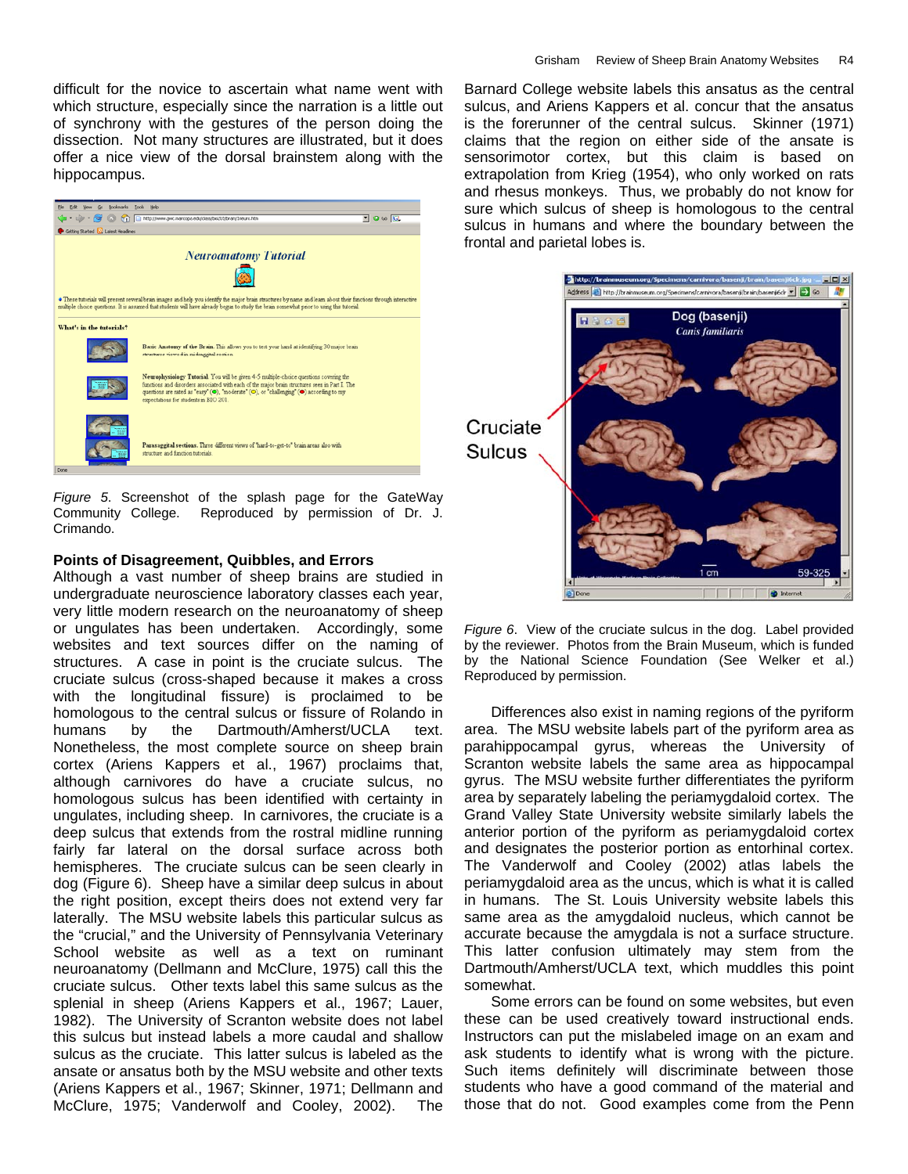difficult for the novice to ascertain what name went with which structure, especially since the narration is a little out of synchrony with the gestures of the person doing the dissection. Not many structures are illustrated, but it does offer a nice view of the dorsal brainstem along with the hippocampus.



*Figure 5*. Screenshot of the splash page for the [GateWay](http://www.gatewaycc.edu/)  [Community College.](http://www.gatewaycc.edu/) Reproduced by permission of Dr. J. Crimando.

## **Points of Disagreement, Quibbles, and Errors**

Although a vast number of sheep brains are studied in undergraduate neuroscience laboratory classes each year, very little modern research on the neuroanatomy of sheep or ungulates has been undertaken. Accordingly, some websites and text sources differ on the naming of structures. A case in point is the cruciate sulcus. The cruciate sulcus (cross-shaped because it makes a cross with the longitudinal fissure) is proclaimed to be homologous to the central sulcus or fissure of Rolando in humans by the Dartmouth/Amherst/UCLA text. Nonetheless, the most complete source on sheep brain cortex (Ariens Kappers et al., 1967) proclaims that, although carnivores do have a cruciate sulcus, no homologous sulcus has been identified with certainty in ungulates, including sheep. In carnivores, the cruciate is a deep sulcus that extends from the rostral midline running fairly far lateral on the dorsal surface across both hemispheres. The cruciate sulcus can be seen clearly in dog (Figure 6). Sheep have a similar deep sulcus in about the right position, except theirs does not extend very far laterally. The MSU website labels this particular sulcus as the "crucial," and the University of Pennsylvania Veterinary School website as well as a text on ruminant neuroanatomy (Dellmann and McClure, 1975) call this the cruciate sulcus. Other texts label this same sulcus as the splenial in sheep (Ariens Kappers et al., 1967; Lauer, 1982). The University of Scranton website does not label this sulcus but instead labels a more caudal and shallow sulcus as the cruciate. This latter sulcus is labeled as the ansate or ansatus both by the MSU website and other texts (Ariens Kappers et al., 1967; Skinner, 1971; Dellmann and McClure, 1975; Vanderwolf and Cooley, 2002). The

Barnard College website labels this ansatus as the central sulcus, and Ariens Kappers et al. concur that the ansatus is the forerunner of the central sulcus. Skinner (1971) claims that the region on either side of the ansate is sensorimotor cortex, but this claim is based on extrapolation from Krieg (1954), who only worked on rats and rhesus monkeys. Thus, we probably do not know for sure which sulcus of sheep is homologous to the central sulcus in humans and where the boundary between the frontal and parietal lobes is.



*Figure 6*. View of the cruciate sulcus in the dog. Label provided by the reviewer. Photos from the Brain Museum, which is funded by the National Science Foundation (See Welker et al.) Reproduced by permission.

Differences also exist in naming regions of the pyriform area. The MSU website labels part of the pyriform area as parahippocampal gyrus, whereas the University of Scranton website labels the same area as hippocampal gyrus. The MSU website further differentiates the pyriform area by separately labeling the periamygdaloid cortex. The Grand Valley State University website similarly labels the anterior portion of the pyriform as periamygdaloid cortex and designates the posterior portion as entorhinal cortex. The Vanderwolf and Cooley (2002) atlas labels the periamygdaloid area as the uncus, which is what it is called in humans. The St. Louis University website labels this same area as the amygdaloid nucleus, which cannot be accurate because the amygdala is not a surface structure. This latter confusion ultimately may stem from the Dartmouth/Amherst/UCLA text, which muddles this point somewhat.

Some errors can be found on some websites, but even these can be used creatively toward instructional ends. Instructors can put the mislabeled image on an exam and ask students to identify what is wrong with the picture. Such items definitely will discriminate between those students who have a good command of the material and those that do not. Good examples come from the Penn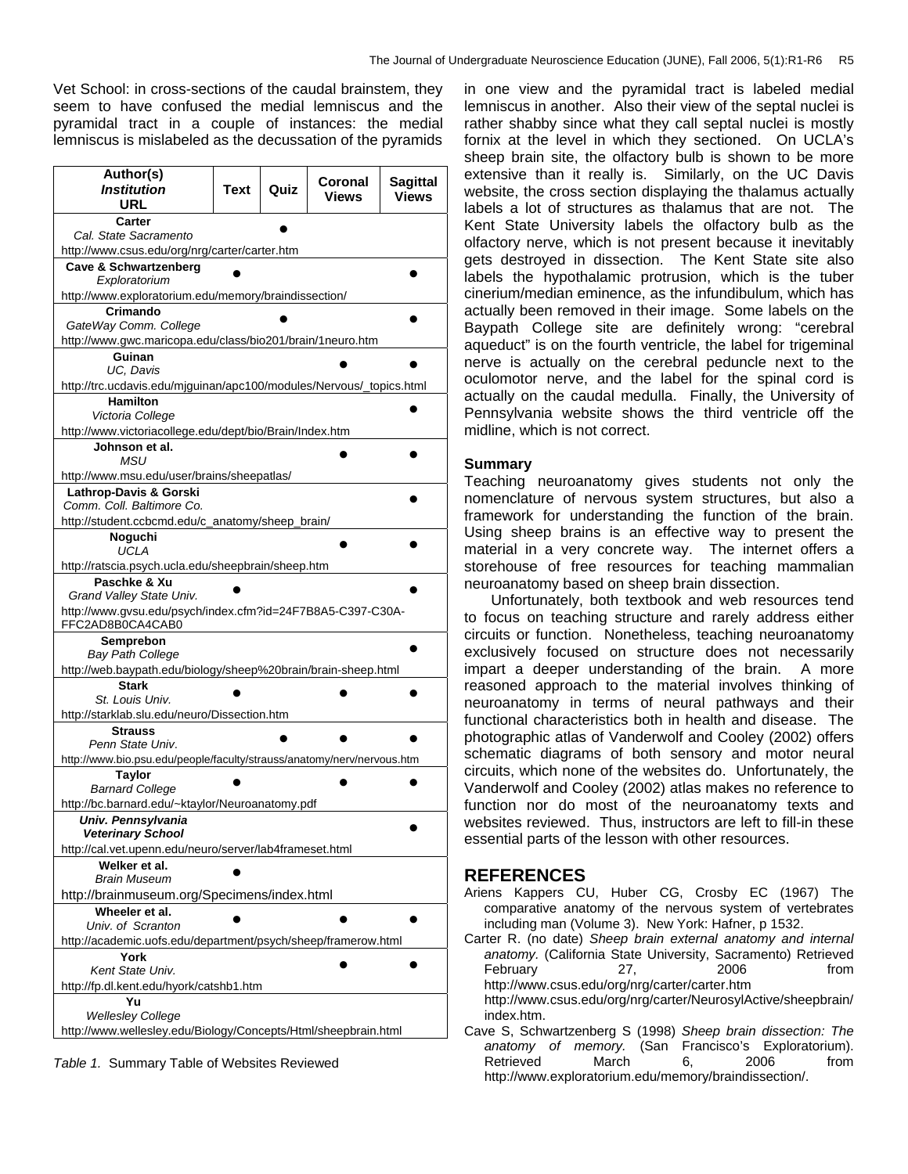Vet School: in cross-sections of the caudal brainstem, they seem to have confused the medial lemniscus and the pyramidal tract in a couple of instances: the medial lemniscus is mislabeled as the decussation of the pyramids

| Author(s)<br><b>Institution</b>                                                        | Text | Quiz | Coronal | <b>Sagittal</b> |
|----------------------------------------------------------------------------------------|------|------|---------|-----------------|
| URL                                                                                    |      |      | Views   | <b>Views</b>    |
| Carter                                                                                 |      |      |         |                 |
| Cal. State Sacramento                                                                  |      |      |         |                 |
| http://www.csus.edu/org/nrg/carter/carter.htm                                          |      |      |         |                 |
| <b>Cave &amp; Schwartzenberg</b><br>Exploratorium                                      |      |      |         |                 |
| http://www.exploratorium.edu/memory/braindissection/                                   |      |      |         |                 |
| Crimando                                                                               |      |      |         |                 |
| GateWay Comm. College<br>http://www.gwc.maricopa.edu/class/bio201/brain/1neuro.htm     |      |      |         |                 |
| Guinan                                                                                 |      |      |         |                 |
| UC, Davis                                                                              |      |      |         |                 |
| http://trc.ucdavis.edu/mjguinan/apc100/modules/Nervous/_topics.html<br><b>Hamilton</b> |      |      |         |                 |
| Victoria College                                                                       |      |      |         |                 |
| http://www.victoriacollege.edu/dept/bio/Brain/Index.htm                                |      |      |         |                 |
| Johnson et al.<br>MSU                                                                  |      |      |         |                 |
| http://www.msu.edu/user/brains/sheepatlas/                                             |      |      |         |                 |
| <b>Lathrop-Davis &amp; Gorski</b>                                                      |      |      |         |                 |
| Comm. Coll. Baltimore Co.                                                              |      |      |         |                 |
| http://student.ccbcmd.edu/c_anatomy/sheep_brain/                                       |      |      |         |                 |
| Noguchi<br>UCLA                                                                        |      |      |         |                 |
| http://ratscia.psych.ucla.edu/sheepbrain/sheep.htm                                     |      |      |         |                 |
| Paschke & Xu                                                                           |      |      |         |                 |
| Grand Valley State Univ.                                                               |      |      |         |                 |
| http://www.gvsu.edu/psych/index.cfm?id=24F7B8A5-C397-C30A-<br>FFC2AD8B0CA4CAB0         |      |      |         |                 |
| Semprebon                                                                              |      |      |         |                 |
| <b>Bay Path College</b>                                                                |      |      |         |                 |
| http://web.baypath.edu/biology/sheep%20brain/brain-sheep.html                          |      |      |         |                 |
| <b>Stark</b><br>St. Louis Univ.                                                        |      |      |         |                 |
| http://starklab.slu.edu/neuro/Dissection.htm                                           |      |      |         |                 |
| <b>Strauss</b>                                                                         |      |      |         |                 |
| Penn State Univ.                                                                       |      |      |         |                 |
| http://www.bio.psu.edu/people/faculty/strauss/anatomy/nerv/nervous.htm                 |      |      |         |                 |
| <b>Taylor</b><br><b>Barnard College</b>                                                |      |      |         |                 |
| http://bc.barnard.edu/~ktaylor/Neuroanatomy.pdf                                        |      |      |         |                 |
| Univ. Pennsylvania                                                                     |      |      |         |                 |
| Veterinary School                                                                      |      |      |         |                 |
| http://cal.vet.upenn.edu/neuro/server/lab4frameset.html                                |      |      |         |                 |
| Welker et al.                                                                          |      |      |         |                 |
| <b>Brain Museum</b>                                                                    |      |      |         |                 |
| http://brainmuseum.org/Specimens/index.html                                            |      |      |         |                 |
| Wheeler et al.<br>Univ. of Scranton                                                    |      |      |         |                 |
| http://academic.uofs.edu/department/psych/sheep/framerow.html                          |      |      |         |                 |
| York                                                                                   |      |      |         |                 |
| Kent State Univ.                                                                       |      |      |         |                 |
| http://fp.dl.kent.edu/hyork/catshb1.htm                                                |      |      |         |                 |
| Yu                                                                                     |      |      |         |                 |
| <b>Wellesley College</b>                                                               |      |      |         |                 |
| http://www.wellesley.edu/Biology/Concepts/Html/sheepbrain.html                         |      |      |         |                 |

*Table 1.* Summary Table of Websites Reviewed

in one view and the pyramidal tract is labeled medial lemniscus in another. Also their view of the septal nuclei is rather shabby since what they call septal nuclei is mostly fornix at the level in which they sectioned. On UCLA's sheep brain site, the olfactory bulb is shown to be more extensive than it really is. Similarly, on the UC Davis website, the cross section displaying the thalamus actually labels a lot of structures as thalamus that are not. The Kent State University labels the olfactory bulb as the olfactory nerve, which is not present because it inevitably gets destroyed in dissection. The Kent State site also labels the hypothalamic protrusion, which is the tuber cinerium/median eminence, as the infundibulum, which has actually been removed in their image. Some labels on the Baypath College site are definitely wrong: "cerebral aqueduct" is on the fourth ventricle, the label for trigeminal nerve is actually on the cerebral peduncle next to the oculomotor nerve, and the label for the spinal cord is actually on the caudal medulla. Finally, the University of Pennsylvania website shows the third ventricle off the midline, which is not correct.

#### **Summary**

Teaching neuroanatomy gives students not only the nomenclature of nervous system structures, but also a framework for understanding the function of the brain. Using sheep brains is an effective way to present the material in a very concrete way. The internet offers a storehouse of free resources for teaching mammalian neuroanatomy based on sheep brain dissection.

Unfortunately, both textbook and web resources tend to focus on teaching structure and rarely address either circuits or function. Nonetheless, teaching neuroanatomy exclusively focused on structure does not necessarily impart a deeper understanding of the brain. A more reasoned approach to the material involves thinking of neuroanatomy in terms of neural pathways and their functional characteristics both in health and disease. The photographic atlas of Vanderwolf and Cooley (2002) offers schematic diagrams of both sensory and motor neural circuits, which none of the websites do. Unfortunately, the Vanderwolf and Cooley (2002) atlas makes no reference to function nor do most of the neuroanatomy texts and websites reviewed. Thus, instructors are left to fill-in these essential parts of the lesson with other resources.

### **REFERENCES**

- Ariens Kappers CU, Huber CG, Crosby EC (1967) The comparative anatomy of the nervous system of vertebrates including man (Volume 3). New York: Hafner, p 1532.
- Carter R. (no date) *Sheep brain external anatomy and internal anatomy.* (California State University, Sacramento) Retrieved February 27, 2006 from http://www.csus.edu/org/nrg/carter/carter.htm [http://www.csus.edu/org/nrg/carter/NeurosylActive/sheepbrain/](http://www.csus.edu/org/nrg/carter/NeurosylActive/sheepbrain/index.htm)
- [index.htm.](http://www.csus.edu/org/nrg/carter/NeurosylActive/sheepbrain/index.htm) Cave S, Schwartzenberg S (1998) *Sheep brain dissection: The anatomy of memory.* (San Francisco's Exploratorium). Retrieved March 6, 2006 from <http://www.exploratorium.edu/memory/braindissection/>.